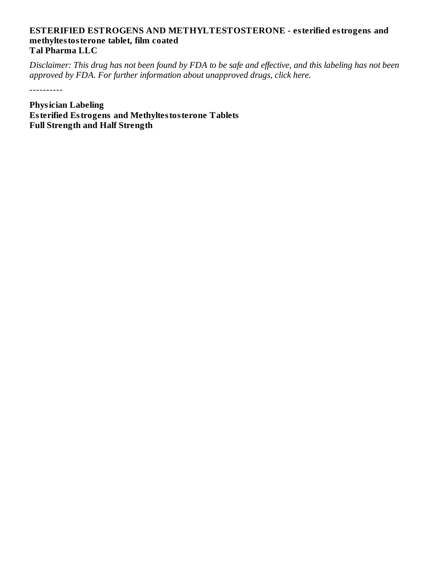#### **ESTERIFIED ESTROGENS AND METHYLTESTOSTERONE - esterified estrogens and methyltestosterone tablet, film coated Tal Pharma LLC**

Disclaimer: This drug has not been found by FDA to be safe and effective, and this labeling has not been *approved by FDA. For further information about unapproved drugs, click here.*

----------

**Physician Labeling Esterified Estrogens and Methyltestosterone Tablets Full Strength and Half Strength**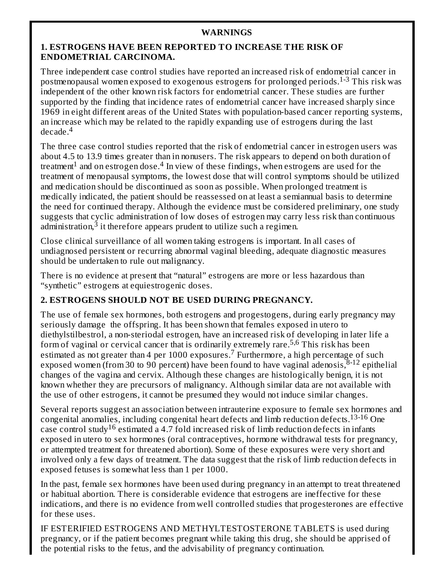#### **WARNINGS**

#### **1. ESTROGENS HAVE BEEN REPORTED TO INCREASE THE RISK OF ENDOMETRIAL CARCINOMA.**

Three independent case control studies have reported an increased risk of endometrial cancer in postmenopausal women exposed to exogenous estrogens for prolonged periods.<sup>1-3</sup> This risk was independent of the other known risk factors for endometrial cancer. These studies are further supported by the finding that incidence rates of endometrial cancer have increased sharply since 1969 in eight different areas of the United States with population-based cancer reporting systems, an increase which may be related to the rapidly expanding use of estrogens during the last decade. 4

The three case control studies reported that the risk of endometrial cancer in estrogen users was about 4.5 to 13.9 times greater than in nonusers. The risk appears to depend on both duration of treatment<sup>1</sup> and on estrogen dose.<sup>4</sup> In view of these findings, when estrogens are used for the treatment of menopausal symptoms, the lowest dose that will control symptoms should be utilized and medication should be discontinued as soon as possible. When prolonged treatment is medically indicated, the patient should be reassessed on at least a semiannual basis to determine the need for continued therapy. Although the evidence must be considered preliminary, one study suggests that cyclic administration of low doses of estrogen may carry less risk than continuous administration, $3$  it therefore appears prudent to utilize such a regimen.

Close clinical surveillance of all women taking estrogens is important. In all cases of undiagnosed persistent or recurring abnormal vaginal bleeding, adequate diagnostic measures should be undertaken to rule out malignancy.

There is no evidence at present that "natural" estrogens are more or less hazardous than "synthetic" estrogens at equiestrogenic doses.

# **2. ESTROGENS SHOULD NOT BE USED DURING PREGNANCY.**

The use of female sex hormones, both estrogens and progestogens, during early pregnancy may seriously damage the offspring. It has been shown that females exposed in utero to diethylstilbestrol, a non-steriodal estrogen, have an increased risk of developing in later life a form of vaginal or cervical cancer that is ordinarily extremely rare.<sup>5,6</sup> This risk has been estimated as not greater than 4 per 1000 exposures.<sup>7</sup> Furthermore, a high percentage of such exposed women (from 30 to 90 percent) have been found to have vaginal adenosis,  $8-12$  epithelial changes of the vagina and cervix. Although these changes are histologically benign, it is not known whether they are precursors of malignancy. Although similar data are not available with the use of other estrogens, it cannot be presumed they would not induce similar changes.

Several reports suggest an association between intrauterine exposure to female sex hormones and congenital anomalies, including congenital heart defects and limb reduction defects.  $13-16$  One case control study<sup>16</sup> estimated a 4.7 fold increased risk of limb reduction defects in infants exposed in utero to sex hormones (oral contraceptives, hormone withdrawal tests for pregnancy, or attempted treatment for threatened abortion). Some of these exposures were very short and involved only a few days of treatment. The data suggest that the risk of limb reduction defects in exposed fetuses is somewhat less than 1 per 1000.

In the past, female sex hormones have been used during pregnancy in an attempt to treat threatened or habitual abortion. There is considerable evidence that estrogens are ineffective for these indications, and there is no evidence from well controlled studies that progesterones are effective for these uses.

IF ESTERIFIED ESTROGENS AND METHYLTESTOSTERONE TABLETS is used during pregnancy, or if the patient becomes pregnant while taking this drug, she should be apprised of the potential risks to the fetus, and the advisability of pregnancy continuation.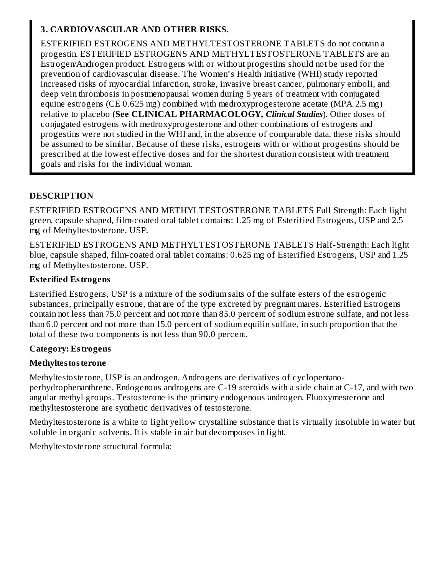# **3. CARDIOVASCULAR AND OTHER RISKS.**

ESTERIFIED ESTROGENS AND METHYLTESTOSTERONE TABLETS do not contain a progestin. ESTERIFIED ESTROGENS AND METHYLTESTOSTERONE TABLETS are an Estrogen/Androgen product. Estrogens with or without progestins should not be used for the prevention of cardiovascular disease. The Women's Health Initiative (WHI) study reported increased risks of myocardial infarction, stroke, invasive breast cancer, pulmonary emboli, and deep vein thrombosis in postmenopausal women during 5 years of treatment with conjugated equine estrogens (CE 0.625 mg) combined with medroxyprogesterone acetate (MPA 2.5 mg) relative to placebo (**See CLINICAL PHARMACOLOGY,** *Clinical Studies*). Other doses of conjugated estrogens with medroxyprogesterone and other combinations of estrogens and progestins were not studied in the WHI and, in the absence of comparable data, these risks should be assumed to be similar. Because of these risks, estrogens with or without progestins should be prescribed at the lowest effective doses and for the shortest duration consistent with treatment goals and risks for the individual woman.

# **DESCRIPTION**

ESTERIFIED ESTROGENS AND METHYLTESTOSTERONE TABLETS Full Strength: Each light green, capsule shaped, film-coated oral tablet contains: 1.25 mg of Esterified Estrogens, USP and 2.5 mg of Methyltestosterone, USP.

ESTERIFIED ESTROGENS AND METHYLTESTOSTERONE TABLETS Half-Strength: Each light blue, capsule shaped, film-coated oral tablet contains: 0.625 mg of Esterified Estrogens, USP and 1.25 mg of Methyltestosterone, USP.

# **Esterified Estrogens**

Esterified Estrogens, USP is a mixture of the sodium salts of the sulfate esters of the estrogenic substances, principally estrone, that are of the type excreted by pregnant mares. Esterified Estrogens contain not less than 75.0 percent and not more than 85.0 percent of sodium estrone sulfate, and not less than 6.0 percent and not more than 15.0 percent of sodium equilin sulfate, in such proportion that the total of these two components is not less than 90.0 percent.

# **Category: Estrogens**

# **Methyltestosterone**

Methyltestosterone, USP is an androgen. Androgens are derivatives of cyclopentanoperhydrophenanthrene. Endogenous androgens are C-19 steroids with a side chain at C-17, and with two angular methyl groups. Testosterone is the primary endogenous androgen. Fluoxymesterone and methyltestosterone are synthetic derivatives of testosterone.

Methyltestosterone is a white to light yellow crystalline substance that is virtually insoluble in water but soluble in organic solvents. It is stable in air but decomposes in light.

Methyltestosterone structural formula: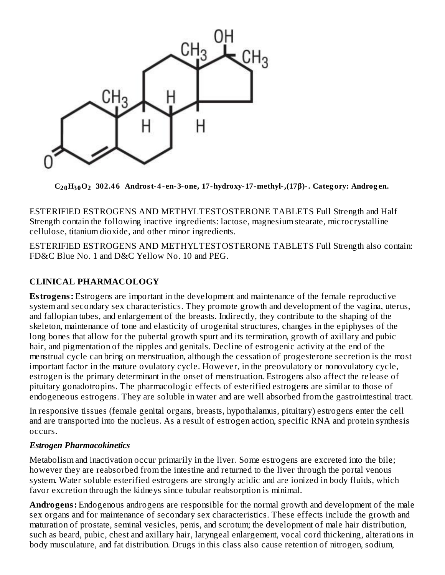

**C H O 302.4 6 Androst-4 -en-3-one, 17-hydroxy-17-methyl-,(17β)-. Categ ory: Androg en. 20 30 2**

ESTERIFIED ESTROGENS AND METHYLTESTOSTERONE TABLETS Full Strength and Half Strength contain the following inactive ingredients: lactose, magnesium stearate, microcrystalline cellulose, titanium dioxide, and other minor ingredients.

ESTERIFIED ESTROGENS AND METHYLTESTOSTERONE TABLETS Full Strength also contain: FD&C Blue No. 1 and D&C Yellow No. 10 and PEG.

# **CLINICAL PHARMACOLOGY**

**Estrogens:** Estrogens are important in the development and maintenance of the female reproductive system and secondary sex characteristics. They promote growth and development of the vagina, uterus, and fallopian tubes, and enlargement of the breasts. Indirectly, they contribute to the shaping of the skeleton, maintenance of tone and elasticity of urogenital structures, changes in the epiphyses of the long bones that allow for the pubertal growth spurt and its termination, growth of axillary and pubic hair, and pigmentation of the nipples and genitals. Decline of estrogenic activity at the end of the menstrual cycle can bring on menstruation, although the cessation of progesterone secretion is the most important factor in the mature ovulatory cycle. However, in the preovulatory or nonovulatory cycle, estrogen is the primary determinant in the onset of menstruation. Estrogens also affect the release of pituitary gonadotropins. The pharmacologic effects of esterified estrogens are similar to those of endogeneous estrogens. They are soluble in water and are well absorbed from the gastrointestinal tract.

In responsive tissues (female genital organs, breasts, hypothalamus, pituitary) estrogens enter the cell and are transported into the nucleus. As a result of estrogen action, specific RNA and protein synthesis occurs.

### *Estrogen Pharmacokinetics*

Metabolism and inactivation occur primarily in the liver. Some estrogens are excreted into the bile; however they are reabsorbed from the intestine and returned to the liver through the portal venous system. Water soluble esterified estrogens are strongly acidic and are ionized in body fluids, which favor excretion through the kidneys since tubular reabsorption is minimal.

**Androgens:** Endogenous androgens are responsible for the normal growth and development of the male sex organs and for maintenance of secondary sex characteristics. These effects include the growth and maturation of prostate, seminal vesicles, penis, and scrotum; the development of male hair distribution, such as beard, pubic, chest and axillary hair, laryngeal enlargement, vocal cord thickening, alterations in body musculature, and fat distribution. Drugs in this class also cause retention of nitrogen, sodium,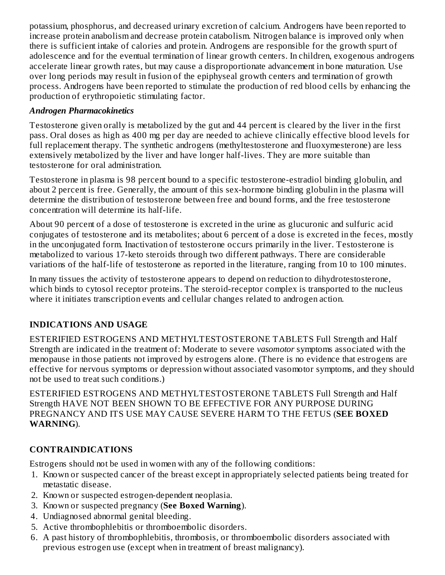potassium, phosphorus, and decreased urinary excretion of calcium. Androgens have been reported to increase protein anabolism and decrease protein catabolism. Nitrogen balance is improved only when there is sufficient intake of calories and protein. Androgens are responsible for the growth spurt of adolescence and for the eventual termination of linear growth centers. In children, exogenous androgens accelerate linear growth rates, but may cause a disproportionate advancement in bone maturation. Use over long periods may result in fusion of the epiphyseal growth centers and termination of growth process. Androgens have been reported to stimulate the production of red blood cells by enhancing the production of erythropoietic stimulating factor.

### *Androgen Pharmacokinetics*

Testosterone given orally is metabolized by the gut and 44 percent is cleared by the liver in the first pass. Oral doses as high as 400 mg per day are needed to achieve clinically effective blood levels for full replacement therapy. The synthetic androgens (methyltestosterone and fluoxymesterone) are less extensively metabolized by the liver and have longer half-lives. They are more suitable than testosterone for oral administration.

Testosterone in plasma is 98 percent bound to a specific testosterone-estradiol binding globulin, and about 2 percent is free. Generally, the amount of this sex-hormone binding globulin in the plasma will determine the distribution of testosterone between free and bound forms, and the free testosterone concentration will determine its half-life.

About 90 percent of a dose of testosterone is excreted in the urine as glucuronic and sulfuric acid conjugates of testosterone and its metabolites; about 6 percent of a dose is excreted in the feces, mostly in the unconjugated form. Inactivation of testosterone occurs primarily in the liver. Testosterone is metabolized to various 17-keto steroids through two different pathways. There are considerable variations of the half-life of testosterone as reported in the literature, ranging from 10 to 100 minutes.

In many tissues the activity of testosterone appears to depend on reduction to dihydrotestosterone, which binds to cytosol receptor proteins. The steroid-receptor complex is transported to the nucleus where it initiates transcription events and cellular changes related to androgen action.

# **INDICATIONS AND USAGE**

ESTERIFIED ESTROGENS AND METHYLTESTOSTERONE TABLETS Full Strength and Half Strength are indicated in the treatment of: Moderate to severe *vasomotor* symptoms associated with the menopause in those patients not improved by estrogens alone. (There is no evidence that estrogens are effective for nervous symptoms or depression without associated vasomotor symptoms, and they should not be used to treat such conditions.)

ESTERIFIED ESTROGENS AND METHYLTESTOSTERONE TABLETS Full Strength and Half Strength HAVE NOT BEEN SHOWN TO BE EFFECTIVE FOR ANY PURPOSE DURING PREGNANCY AND ITS USE MAY CAUSE SEVERE HARM TO THE FETUS (**SEE BOXED WARNING**).

# **CONTRAINDICATIONS**

Estrogens should not be used in women with any of the following conditions:

- 1. Known or suspected cancer of the breast except in appropriately selected patients being treated for metastatic disease.
- 2. Known or suspected estrogen-dependent neoplasia.
- 3. Known or suspected pregnancy (**See Boxed Warning**).
- 4. Undiagnosed abnormal genital bleeding.
- 5. Active thrombophlebitis or thromboembolic disorders.
- 6. A past history of thrombophlebitis, thrombosis, or thromboembolic disorders associated with previous estrogen use (except when in treatment of breast malignancy).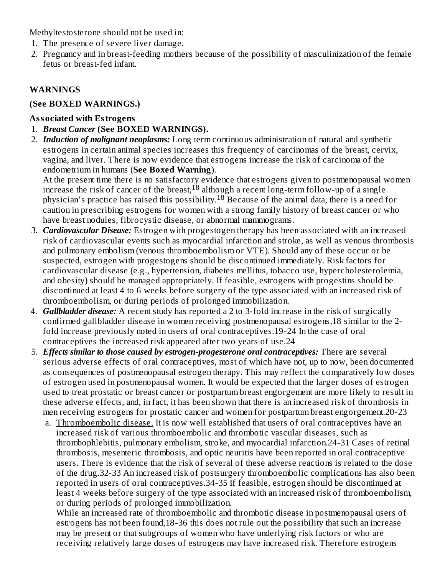Methyltestosterone should not be used in:

- 1. The presence of severe liver damage.
- 2. Pregnancy and in breast-feeding mothers because of the possibility of masculinization of the female fetus or breast-fed infant.

# **WARNINGS**

# **(See BOXED WARNINGS.)**

# **Associated with Estrogens**

- 1. *Breast Cancer* **(See BOXED WARNINGS).**
- 2. *Induction of malignant neoplasms:* Long term continuous administration of natural and synthetic estrogens in certain animal species increases this frequency of carcinomas of the breast, cervix, vagina, and liver. There is now evidence that estrogens increase the risk of carcinoma of the endometrium in humans (**See Boxed Warning**).

At the present time there is no satisfactory evidence that estrogens given to postmenopausal women increase the risk of cancer of the breast,  $^{18}$  although a recent long-term follow-up of a single physician's practice has raised this possibility.<sup>18</sup> Because of the animal data, there is a need for caution in prescribing estrogens for women with a strong family history of breast cancer or who have breast nodules, fibrocystic disease, or abnormal mammograms.

- 3. *Cardiovascular Disease:* Estrogen with progestogen therapy has been associated with an increased risk of cardiovascular events such as myocardial infarction and stroke, as well as venous thrombosis and pulmonary embolism (venous thromboembolism or VTE). Should any of these occur or be suspected, estrogen with progestogens should be discontinued immediately. Risk factors for cardiovascular disease (e.g., hypertension, diabetes mellitus, tobacco use, hypercholesterolemia, and obesity) should be managed appropriately. If feasible, estrogens with progestins should be discontinued at least 4 to 6 weeks before surgery of the type associated with an increased risk of thromboembolism, or during periods of prolonged immobilization.
- 4. *Gallbladder disease:* A recent study has reported a 2 to 3-fold increase in the risk of surgically confirmed gallbladder disease in women receiving postmenopausal estrogens,18 similar to the 2 fold increase previously noted in users of oral contraceptives.19-24 In the case of oral contraceptives the increased risk appeared after two years of use.24
- 5. *Effects similar to those caused by estrogen-progesterone oral contraceptives:* There are several serious adverse effects of oral contraceptives, most of which have not, up to now, been documented as consequences of postmenopausal estrogen therapy. This may reflect the comparatively low doses of estrogen used in postmenopausal women. It would be expected that the larger doses of estrogen used to treat prostatic or breast cancer or postpartum breast engorgement are more likely to result in these adverse effects, and, in fact, it has been shown that there is an increased risk of thrombosis in men receiving estrogens for prostatic cancer and women for postpartum breast engorgement.20-23
	- a. Thromboembolic disease. It is now well established that users of oral contraceptives have an increased risk of various thromboembolic and thrombotic vascular diseases, such as thrombophlebitis, pulmonary embolism, stroke, and myocardial infarction.24-31 Cases of retinal thrombosis, mesenteric thrombosis, and optic neuritis have been reported in oral contraceptive users. There is evidence that the risk of several of these adverse reactions is related to the dose of the drug.32-33 An increased risk of postsurgery thromboembolic complications has also been reported in users of oral contraceptives.34-35 If feasible, estrogen should be discontinued at least 4 weeks before surgery of the type associated with an increased risk of thromboembolism, or during periods of prolonged immobilization.

While an increased rate of thromboembolic and thrombotic disease in postmenopausal users of estrogens has not been found,18-36 this does not rule out the possibility that such an increase may be present or that subgroups of women who have underlying risk factors or who are receiving relatively large doses of estrogens may have increased risk. Therefore estrogens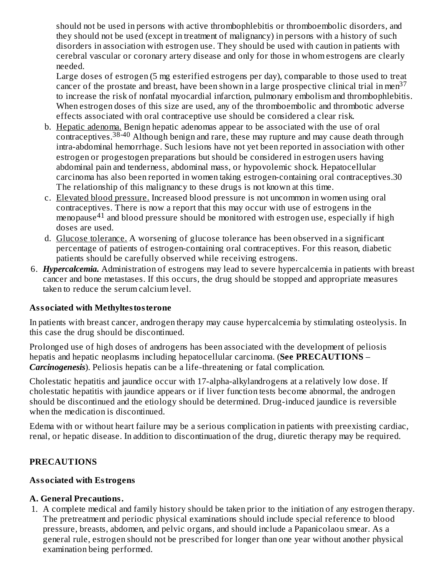should not be used in persons with active thrombophlebitis or thromboembolic disorders, and they should not be used (except in treatment of malignancy) in persons with a history of such disorders in association with estrogen use. They should be used with caution in patients with cerebral vascular or coronary artery disease and only for those in whom estrogens are clearly needed.

Large doses of estrogen (5 mg esterified estrogens per day), comparable to those used to treat cancer of the prostate and breast, have been shown in a large prospective clinical trial in men<sup>37</sup> to increase the risk of nonfatal myocardial infarction, pulmonary embolism and thrombophlebitis. When estrogen doses of this size are used, any of the thromboembolic and thrombotic adverse effects associated with oral contraceptive use should be considered a clear risk.

- b. Hepatic adenoma. Benign hepatic adenomas appear to be associated with the use of oral contraceptives.<sup>38-40</sup> Although benign and rare, these may rupture and may cause death through intra-abdominal hemorrhage. Such lesions have not yet been reported in association with other estrogen or progestogen preparations but should be considered in estrogen users having abdominal pain and tenderness, abdominal mass, or hypovolemic shock. Hepatocellular carcinoma has also been reported in women taking estrogen-containing oral contraceptives.30 The relationship of this malignancy to these drugs is not known at this time.
- c. Elevated blood pressure. Increased blood pressure is not uncommon in women using oral contraceptives. There is now a report that this may occur with use of estrogens in the  $m$ enopause<sup>41</sup> and blood pressure should be monitored with estrogen use, especially if high doses are used.
- d. Glucose tolerance. A worsening of glucose tolerance has been observed in a significant percentage of patients of estrogen-containing oral contraceptives. For this reason, diabetic patients should be carefully observed while receiving estrogens.
- 6. *Hypercalcemia.* Administration of estrogens may lead to severe hypercalcemia in patients with breast cancer and bone metastases. If this occurs, the drug should be stopped and appropriate measures taken to reduce the serum calcium level.

### **Associated with Methyltestosterone**

In patients with breast cancer, androgen therapy may cause hypercalcemia by stimulating osteolysis. In this case the drug should be discontinued.

Prolonged use of high doses of androgens has been associated with the development of peliosis hepatis and hepatic neoplasms including hepatocellular carcinoma. (**See PRECAUTIONS** – *Carcinogenesis*). Peliosis hepatis can be a life-threatening or fatal complication.

Cholestatic hepatitis and jaundice occur with 17-alpha-alkylandrogens at a relatively low dose. If cholestatic hepatitis with jaundice appears or if liver function tests become abnormal, the androgen should be discontinued and the etiology should be determined. Drug-induced jaundice is reversible when the medication is discontinued.

Edema with or without heart failure may be a serious complication in patients with preexisting cardiac, renal, or hepatic disease. In addition to discontinuation of the drug, diuretic therapy may be required.

### **PRECAUTIONS**

#### **Associated with Estrogens**

### **A. General Precautions.**

1. A complete medical and family history should be taken prior to the initiation of any estrogen therapy. The pretreatment and periodic physical examinations should include special reference to blood pressure, breasts, abdomen, and pelvic organs, and should include a Papanicolaou smear. As a general rule, estrogen should not be prescribed for longer than one year without another physical examination being performed.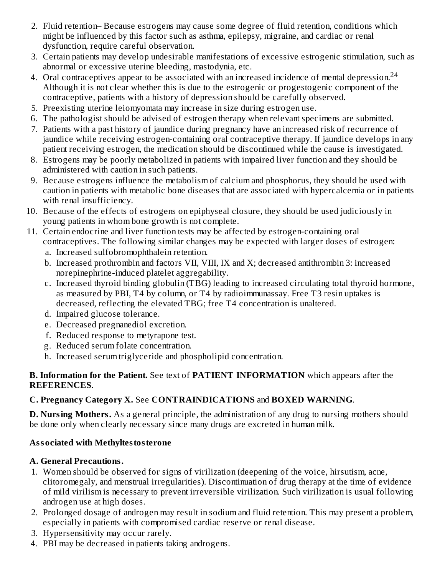- 2. Fluid retention– Because estrogens may cause some degree of fluid retention, conditions which might be influenced by this factor such as asthma, epilepsy, migraine, and cardiac or renal dysfunction, require careful observation.
- 3. Certain patients may develop undesirable manifestations of excessive estrogenic stimulation, such as abnormal or excessive uterine bleeding, mastodynia, etc.
- 4. Oral contraceptives appear to be associated with an increased incidence of mental depression.<sup>24</sup> Although it is not clear whether this is due to the estrogenic or progestogenic component of the contraceptive, patients with a history of depression should be carefully observed.
- 5. Preexisting uterine leiomyomata may increase in size during estrogen use.
- 6. The pathologist should be advised of estrogen therapy when relevant specimens are submitted.
- 7. Patients with a past history of jaundice during pregnancy have an increased risk of recurrence of jaundice while receiving estrogen-containing oral contraceptive therapy. If jaundice develops in any patient receiving estrogen, the medication should be discontinued while the cause is investigated.
- 8. Estrogens may be poorly metabolized in patients with impaired liver function and they should be administered with caution in such patients.
- 9. Because estrogens influence the metabolism of calcium and phosphorus, they should be used with caution in patients with metabolic bone diseases that are associated with hypercalcemia or in patients with renal insufficiency.
- 10. Because of the effects of estrogens on epiphyseal closure, they should be used judiciously in young patients in whom bone growth is not complete.
- 11. Certain endocrine and liver function tests may be affected by estrogen-containing oral contraceptives. The following similar changes may be expected with larger doses of estrogen:
	- a. Increased sulfobromophthalein retention.
	- b. Increased prothrombin and factors VII, VIII, IX and X; decreased antithrombin 3: increased norepinephrine-induced platelet aggregability.
	- c. Increased thyroid binding globulin (TBG) leading to increased circulating total thyroid hormone, as measured by PBI, T4 by column, or T4 by radioimmunassay. Free T3 resin uptakes is decreased, reflecting the elevated TBG; free T4 concentration is unaltered.
	- d. Impaired glucose tolerance.
	- e. Decreased pregnanediol excretion.
	- f. Reduced response to metyrapone test.
	- g. Reduced serum folate concentration.
	- h. Increased serum triglyceride and phospholipid concentration.

#### **B. Information for the Patient.** See text of **PATIENT INFORMATION** which appears after the **REFERENCES**.

### **C. Pregnancy Category X.** See **CONTRAINDICATIONS** and **BOXED WARNING**.

**D. Nursing Mothers.** As a general principle, the administration of any drug to nursing mothers should be done only when clearly necessary since many drugs are excreted in human milk.

### **Associated with Methyltestosterone**

### **A. General Precautions.**

- 1. Women should be observed for signs of virilization (deepening of the voice, hirsutism, acne, clitoromegaly, and menstrual irregularities). Discontinuation of drug therapy at the time of evidence of mild virilism is necessary to prevent irreversible virilization. Such virilization is usual following androgen use at high doses.
- 2. Prolonged dosage of androgen may result in sodium and fluid retention. This may present a problem, especially in patients with compromised cardiac reserve or renal disease.
- 3. Hypersensitivity may occur rarely.
- 4. PBI may be decreased in patients taking androgens.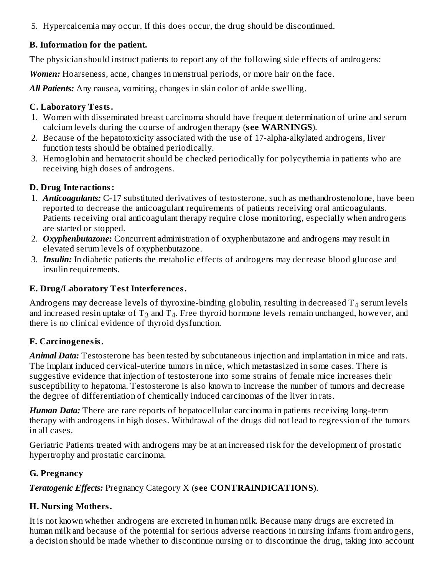5. Hypercalcemia may occur. If this does occur, the drug should be discontinued.

# **B. Information for the patient.**

The physician should instruct patients to report any of the following side effects of androgens:

*Women:* Hoarseness, acne, changes in menstrual periods, or more hair on the face.

*All Patients:* Any nausea, vomiting, changes in skin color of ankle swelling.

# **C. Laboratory Tests.**

- 1. Women with disseminated breast carcinoma should have frequent determination of urine and serum calcium levels during the course of androgen therapy (**s ee WARNINGS**).
- 2. Because of the hepatotoxicity associated with the use of 17-alpha-alkylated androgens, liver function tests should be obtained periodically.
- 3. Hemoglobin and hematocrit should be checked periodically for polycythemia in patients who are receiving high doses of androgens.

# **D. Drug Interactions:**

- 1. *Anticoagulants:* C-17 substituted derivatives of testosterone, such as methandrostenolone, have been reported to decrease the anticoagulant requirements of patients receiving oral anticoagulants. Patients receiving oral anticoagulant therapy require close monitoring, especially when androgens are started or stopped.
- 2. *Oxyphenbutazone:* Concurrent administration of oxyphenbutazone and androgens may result in elevated serum levels of oxyphenbutazone.
- 3. *Insulin:* In diabetic patients the metabolic effects of androgens may decrease blood glucose and insulin requirements.

# **E. Drug/Laboratory Test Interferences.**

Androgens may decrease levels of thyroxine-binding globulin, resulting in decreased  $\mathrm{T}_4$  serum levels and increased resin uptake of  $\text{T}_3$  and  $\text{T}_4$ . Free thyroid hormone levels remain unchanged, however, and there is no clinical evidence of thyroid dysfunction.

# **F. Carcinogenesis.**

*Animal Data:* Testosterone has been tested by subcutaneous injection and implantation in mice and rats. The implant induced cervical-uterine tumors in mice, which metastasized in some cases. There is suggestive evidence that injection of testosterone into some strains of female mice increases their susceptibility to hepatoma. Testosterone is also known to increase the number of tumors and decrease the degree of differentiation of chemically induced carcinomas of the liver in rats.

*Human Data:* There are rare reports of hepatocellular carcinoma in patients receiving long-term therapy with androgens in high doses. Withdrawal of the drugs did not lead to regression of the tumors in all cases.

Geriatric Patients treated with androgens may be at an increased risk for the development of prostatic hypertrophy and prostatic carcinoma.

# **G. Pregnancy**

# *Teratogenic Effects:* Pregnancy Category X (**s ee CONTRAINDICATIONS**).

# **H. Nursing Mothers.**

It is not known whether androgens are excreted in human milk. Because many drugs are excreted in human milk and because of the potential for serious adverse reactions in nursing infants from androgens, a decision should be made whether to discontinue nursing or to discontinue the drug, taking into account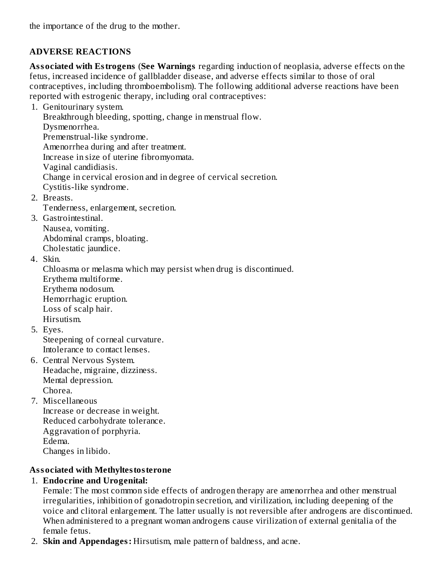the importance of the drug to the mother.

# **ADVERSE REACTIONS**

**Associated with Estrogens** (**See Warnings** regarding induction of neoplasia, adverse effects on the fetus, increased incidence of gallbladder disease, and adverse effects similar to those of oral contraceptives, including thromboembolism). The following additional adverse reactions have been reported with estrogenic therapy, including oral contraceptives:

1. Genitourinary system. Breakthrough bleeding, spotting, change in menstrual flow. Dysmenorrhea. Premenstrual-like syndrome. Amenorrhea during and after treatment. Increase in size of uterine fibromyomata. Vaginal candidiasis. Change in cervical erosion and in degree of cervical secretion. Cystitis-like syndrome.

2. Breasts.

Tenderness, enlargement, secretion.

3. Gastrointestinal.

Nausea, vomiting. Abdominal cramps, bloating. Cholestatic jaundice.

4. Skin.

Chloasma or melasma which may persist when drug is discontinued. Erythema multiforme. Erythema nodosum. Hemorrhagic eruption. Loss of scalp hair. Hirsutism. 5. Eyes.

Steepening of corneal curvature. Intolerance to contact lenses.

- 6. Central Nervous System. Headache, migraine, dizziness. Mental depression. Chorea.
- 7. Miscellaneous Increase or decrease in weight. Reduced carbohydrate tolerance. Aggravation of porphyria. Edema. Changes in libido.

# **Associated with Methyltestosterone**

### 1. **Endocrine and Urogenital:**

Female: The most common side effects of androgen therapy are amenorrhea and other menstrual irregularities, inhibition of gonadotropin secretion, and virilization, including deepening of the voice and clitoral enlargement. The latter usually is not reversible after androgens are discontinued. When administered to a pregnant woman androgens cause virilization of external genitalia of the female fetus.

2. **Skin and Appendages:** Hirsutism, male pattern of baldness, and acne.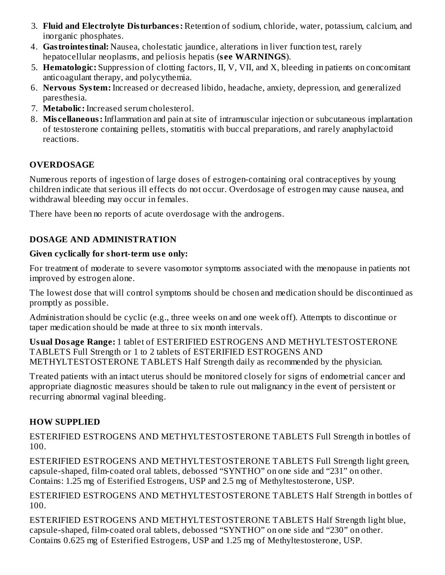- 3. **Fluid and Electrolyte Disturbances:** Retention of sodium, chloride, water, potassium, calcium, and inorganic phosphates.
- 4. **Gastrointestinal:** Nausea, cholestatic jaundice, alterations in liver function test, rarely hepatocellular neoplasms, and peliosis hepatis (**s ee WARNINGS**).
- 5. **Hematologic:** Suppression of clotting factors, II, V, VII, and X, bleeding in patients on concomitant anticoagulant therapy, and polycythemia.
- 6. **Nervous System:** Increased or decreased libido, headache, anxiety, depression, and generalized paresthesia.
- 7. **Metabolic:** Increased serum cholesterol.
- 8. **Mis cellaneous:** Inflammation and pain at site of intramuscular injection or subcutaneous implantation of testosterone containing pellets, stomatitis with buccal preparations, and rarely anaphylactoid reactions.

# **OVERDOSAGE**

Numerous reports of ingestion of large doses of estrogen-containing oral contraceptives by young children indicate that serious ill effects do not occur. Overdosage of estrogen may cause nausea, and withdrawal bleeding may occur in females.

There have been no reports of acute overdosage with the androgens.

# **DOSAGE AND ADMINISTRATION**

### **Given cyclically for short-term us e only:**

For treatment of moderate to severe vasomotor symptoms associated with the menopause in patients not improved by estrogen alone.

The lowest dose that will control symptoms should be chosen and medication should be discontinued as promptly as possible.

Administration should be cyclic (e.g., three weeks on and one week off). Attempts to discontinue or taper medication should be made at three to six month intervals.

**Usual Dosage Range:** 1 tablet of ESTERIFIED ESTROGENS AND METHYLTESTOSTERONE TABLETS Full Strength or 1 to 2 tablets of ESTERIFIED ESTROGENS AND METHYLTESTOSTERONE TABLETS Half Strength daily as recommended by the physician.

Treated patients with an intact uterus should be monitored closely for signs of endometrial cancer and appropriate diagnostic measures should be taken to rule out malignancy in the event of persistent or recurring abnormal vaginal bleeding.

# **HOW SUPPLIED**

ESTERIFIED ESTROGENS AND METHYLTESTOSTERONE TABLETS Full Strength in bottles of 100.

ESTERIFIED ESTROGENS AND METHYLTESTOSTERONE TABLETS Full Strength light green, capsule-shaped, film-coated oral tablets, debossed "SYNTHO" on one side and "231" on other. Contains: 1.25 mg of Esterified Estrogens, USP and 2.5 mg of Methyltestosterone, USP.

ESTERIFIED ESTROGENS AND METHYLTESTOSTERONE TABLETS Half Strength in bottles of 100.

ESTERIFIED ESTROGENS AND METHYLTESTOSTERONE TABLETS Half Strength light blue, capsule-shaped, film-coated oral tablets, debossed "SYNTHO" on one side and "230" on other. Contains 0.625 mg of Esterified Estrogens, USP and 1.25 mg of Methyltestosterone, USP.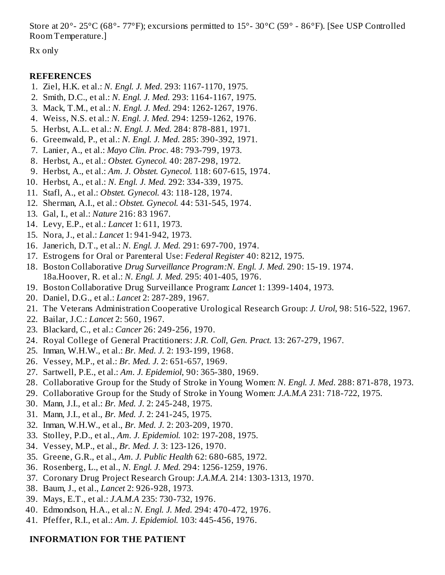Store at 20°- 25°C (68°- 77°F); excursions permitted to 15°- 30°C (59° - 86°F). [See USP Controlled Room Temperature.]

Rx only

#### **REFERENCES**

- 1. Ziel, H.K. et al.: *N. Engl. J. Med*. 293: 1167-1170, 1975.
- 2. Smith, D.C., et al.: *N. Engl. J. Med.* 293: 1164-1167, 1975.
- 3. Mack, T.M., et al.: *N. Engl. J. Med.* 294: 1262-1267, 1976.
- 4. Weiss, N.S. et al.: *N. Engl. J. Med.* 294: 1259-1262, 1976.
- 5. Herbst, A.L. et al.: *N. Engl. J. Med.* 284: 878-881, 1971.
- 6. Greenwald, P., et al.: *N. Engl. J. Med.* 285: 390-392, 1971.
- 7. Lanier, A., et al.: *Mayo Clin. Proc*. 48: 793-799, 1973.
- 8. Herbst, A., et al.: *Obstet. Gynecol.* 40: 287-298, 1972.
- 9. Herbst, A., et al.: *Am. J. Obstet. Gynecol.* 118: 607-615, 1974.
- 10. Herbst, A., et al.: *N. Engl. J. Med.* 292: 334-339, 1975.
- 11. Stafl, A., et al.: *Obstet. Gynecol.* 43: 118-128, 1974.
- 12. Sherman, A.I., et al.: *Obstet. Gynecol.* 44: 531-545, 1974.
- 13. Gal, I., et al.: *Nature* 216: 83 1967.
- 14. Levy, E.P., et al.: *Lancet* 1: 611, 1973.
- 15. Nora, J., et al.: *Lancet* 1: 941-942, 1973.
- 16. Janerich, D.T., et al.: *N. Engl. J. Med.* 291: 697-700, 1974.
- 17. Estrogens for Oral or Parenteral Use: *Federal Register* 40: 8212, 1975.
- 18. Boston Collaborative *Drug Surveillance Program:N. Engl. J. Med.* 290: 15-19. 1974. 18a.Hoover, R. et al.: *N. Engl. J. Med.* 295: 401-405, 1976.
- 19. Boston Collaborative Drug Surveillance Program: *Lancet* 1: 1399-1404, 1973.
- 20. Daniel, D.G., et al.: *Lancet* 2: 287-289, 1967.
- 21. The Veterans Administration Cooperative Urological Research Group: *J. Urol*, 98: 516-522, 1967.
- 22. Bailar, J.C.: *Lancet* 2: 560, 1967.
- 23. Blackard, C., et al.: *Cancer* 26: 249-256, 1970.
- 24. Royal College of General Practitioners: *J.R. Coll, Gen. Pract*. 13: 267-279, 1967.
- 25. Inman, W.H.W., et al.: *Br. Med. J.* 2: 193-199, 1968.
- 26. Vessey, M.P., et al.: *Br. Med. J.* 2: 651-657, 1969.
- 27. Sartwell, P.E., et al.: *Am. J. Epidemiol*, 90: 365-380, 1969.
- 28. Collaborative Group for the Study of Stroke in Young Women: *N. Engl. J. Med*. 288: 871-878, 1973.
- 29. Collaborative Group for the Study of Stroke in Young Women: *J.A.M.A* 231: 718-722, 1975.
- 30. Mann, J.I., et al.: *Br. Med. J*. 2: 245-248, 1975.
- 31. Mann, J.I., et al., *Br. Med. J*. 2: 241-245, 1975.
- 32. Inman, W.H.W., et al., *Br. Med. J.* 2: 203-209, 1970.
- 33. Stolley, P.D., et al., *Am. J. Epidemiol.* 102: 197-208, 1975.
- 34. Vessey, M.P., et al., *Br. Med. J.* 3: 123-126, 1970.
- 35. Greene, G.R., et al., *Am. J. Public Health* 62: 680-685, 1972.
- 36. Rosenberg, L., et al., *N. Engl. J. Med.* 294: 1256-1259, 1976.
- 37. Coronary Drug Project Research Group: *J.A.M.A.* 214: 1303-1313, 1970.
- 38. Baum, J., et al., *Lancet* 2: 926-928, 1973.
- 39. Mays, E.T., et al.: *J.A.M.A* 235: 730-732, 1976.
- 40. Edmondson, H.A., et al.: *N. Engl. J. Med.* 294: 470-472, 1976.
- 41. Pfeffer, R.I., et al.: *Am. J. Epidemiol.* 103: 445-456, 1976.

### **INFORMATION FOR THE PATIENT**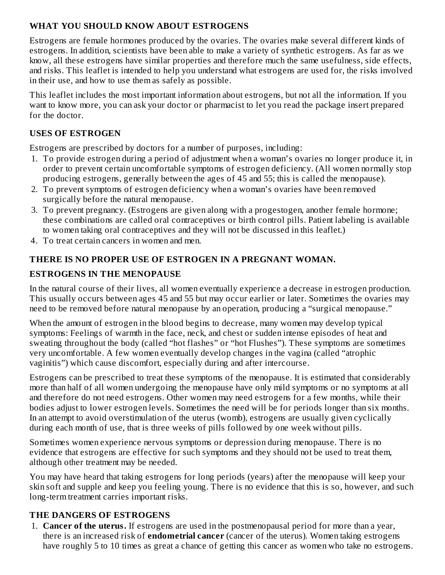# **WHAT YOU SHOULD KNOW ABOUT ESTROGENS**

Estrogens are female hormones produced by the ovaries. The ovaries make several different kinds of estrogens. In addition, scientists have been able to make a variety of synthetic estrogens. As far as we know, all these estrogens have similar properties and therefore much the same usefulness, side effects, and risks. This leaflet is intended to help you understand what estrogens are used for, the risks involved in their use, and how to use them as safely as possible.

This leaflet includes the most important information about estrogens, but not all the information. If you want to know more, you can ask your doctor or pharmacist to let you read the package insert prepared for the doctor.

# **USES OF ESTROGEN**

Estrogens are prescribed by doctors for a number of purposes, including:

- 1. To provide estrogen during a period of adjustment when a woman's ovaries no longer produce it, in order to prevent certain uncomfortable symptoms of estrogen deficiency. (All women normally stop producing estrogens, generally between the ages of 45 and 55; this is called the menopause).
- 2. To prevent symptoms of estrogen deficiency when a woman's ovaries have been removed surgically before the natural menopause.
- 3. To prevent pregnancy. (Estrogens are given along with a progestogen, another female hormone; these combinations are called oral contraceptives or birth control pills. Patient labeling is available to women taking oral contraceptives and they will not be discussed in this leaflet.)
- 4. To treat certain cancers in women and men.

# **THERE IS NO PROPER USE OF ESTROGEN IN A PREGNANT WOMAN.**

# **ESTROGENS IN THE MENOPAUSE**

In the natural course of their lives, all women eventually experience a decrease in estrogen production. This usually occurs between ages 45 and 55 but may occur earlier or later. Sometimes the ovaries may need to be removed before natural menopause by an operation, producing a "surgical menopause."

When the amount of estrogen in the blood begins to decrease, many women may develop typical symptoms: Feelings of warmth in the face, neck, and chest or sudden intense episodes of heat and sweating throughout the body (called "hot flashes" or "hot Flushes"). These symptoms are sometimes very uncomfortable. A few women eventually develop changes in the vagina (called "atrophic vaginitis") which cause discomfort, especially during and after intercourse.

Estrogens can be prescribed to treat these symptoms of the menopause. It is estimated that considerably more than half of all women undergoing the menopause have only mild symptoms or no symptoms at all and therefore do not need estrogens. Other women may need estrogens for a few months, while their bodies adjust to lower estrogen levels. Sometimes the need will be for periods longer than six months. In an attempt to avoid overstimulation of the uterus (womb), estrogens are usually given cyclically during each month of use, that is three weeks of pills followed by one week without pills.

Sometimes women experience nervous symptoms or depression during menopause. There is no evidence that estrogens are effective for such symptoms and they should not be used to treat them, although other treatment may be needed.

You may have heard that taking estrogens for long periods (years) after the menopause will keep your skin soft and supple and keep you feeling young. There is no evidence that this is so, however, and such long-term treatment carries important risks.

# **THE DANGERS OF ESTROGENS**

1. **Cancer of the uterus.** If estrogens are used in the postmenopausal period for more than a year, there is an increased risk of **endometrial cancer** (cancer of the uterus). Women taking estrogens have roughly 5 to 10 times as great a chance of getting this cancer as women who take no estrogens.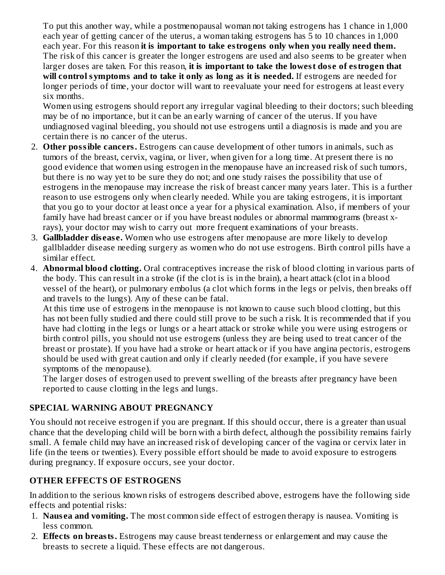To put this another way, while a postmenopausal woman not taking estrogens has 1 chance in 1,000 each year of getting cancer of the uterus, a woman taking estrogens has 5 to 10 chances in 1,000 each year. For this reason **it is important to take estrogens only when you really need them.** The risk of this cancer is greater the longer estrogens are used and also seems to be greater when larger doses are taken. For this reason, **it is important to take the lowest dos e of estrogen that will control symptoms and to take it only as long as it is needed.** If estrogens are needed for longer periods of time, your doctor will want to reevaluate your need for estrogens at least every six months.

Women using estrogens should report any irregular vaginal bleeding to their doctors; such bleeding may be of no importance, but it can be an early warning of cancer of the uterus. If you have undiagnosed vaginal bleeding, you should not use estrogens until a diagnosis is made and you are certain there is no cancer of the uterus.

- 2. **Other possible cancers.** Estrogens can cause development of other tumors in animals, such as tumors of the breast, cervix, vagina, or liver, when given for a long time. At present there is no good evidence that women using estrogen in the menopause have an increased risk of such tumors, but there is no way yet to be sure they do not; and one study raises the possibility that use of estrogens in the menopause may increase the risk of breast cancer many years later. This is a further reason to use estrogens only when clearly needed. While you are taking estrogens, it is important that you go to your doctor at least once a year for a physical examination. Also, if members of your family have had breast cancer or if you have breast nodules or abnormal mammograms (breast xrays), your doctor may wish to carry out more frequent examinations of your breasts.
- 3. **Gallbladder dis eas e.** Women who use estrogens after menopause are more likely to develop gallbladder disease needing surgery as women who do not use estrogens. Birth control pills have a similar effect.
- 4. **Abnormal blood clotting.** Oral contraceptives increase the risk of blood clotting in various parts of the body. This can result in a stroke (if the clot is is in the brain), a heart attack (clot in a blood vessel of the heart), or pulmonary embolus (a clot which forms in the legs or pelvis, then breaks off and travels to the lungs). Any of these can be fatal.

At this time use of estrogens in the menopause is not known to cause such blood clotting, but this has not been fully studied and there could still prove to be such a risk. It is recommended that if you have had clotting in the legs or lungs or a heart attack or stroke while you were using estrogens or birth control pills, you should not use estrogens (unless they are being used to treat cancer of the breast or prostate). If you have had a stroke or heart attack or if you have angina pectoris, estrogens should be used with great caution and only if clearly needed (for example, if you have severe symptoms of the menopause).

The larger doses of estrogen used to prevent swelling of the breasts after pregnancy have been reported to cause clotting in the legs and lungs.

# **SPECIAL WARNING ABOUT PREGNANCY**

You should not receive estrogen if you are pregnant. If this should occur, there is a greater than usual chance that the developing child will be born with a birth defect, although the possibility remains fairly small. A female child may have an increased risk of developing cancer of the vagina or cervix later in life (in the teens or twenties). Every possible effort should be made to avoid exposure to estrogens during pregnancy. If exposure occurs, see your doctor.

# **OTHER EFFECTS OF ESTROGENS**

In addition to the serious known risks of estrogens described above, estrogens have the following side effects and potential risks:

- 1. **Naus ea and vomiting.** The most common side effect of estrogen therapy is nausea. Vomiting is less common.
- 2. **Effects on breasts.** Estrogens may cause breast tenderness or enlargement and may cause the breasts to secrete a liquid. These effects are not dangerous.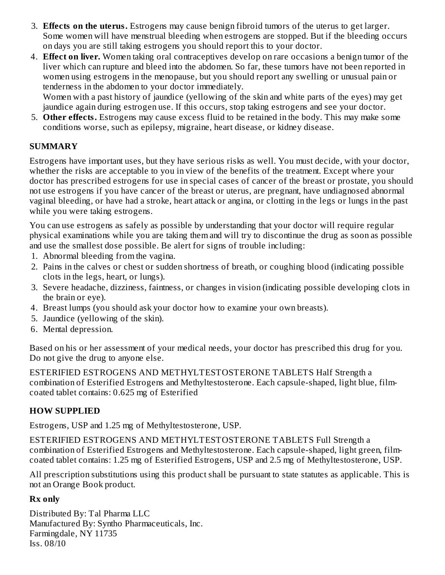- 3. **Effects on the uterus.** Estrogens may cause benign fibroid tumors of the uterus to get larger. Some women will have menstrual bleeding when estrogens are stopped. But if the bleeding occurs on days you are still taking estrogens you should report this to your doctor.
- 4. **Effect on liver.** Women taking oral contraceptives develop on rare occasions a benign tumor of the liver which can rupture and bleed into the abdomen. So far, these tumors have not been reported in women using estrogens in the menopause, but you should report any swelling or unusual pain or tenderness in the abdomen to your doctor immediately. Women with a past history of jaundice (yellowing of the skin and white parts of the eyes) may get

jaundice again during estrogen use. If this occurs, stop taking estrogens and see your doctor.

5. **Other effects.** Estrogens may cause excess fluid to be retained in the body. This may make some conditions worse, such as epilepsy, migraine, heart disease, or kidney disease.

# **SUMMARY**

Estrogens have important uses, but they have serious risks as well. You must decide, with your doctor, whether the risks are acceptable to you in view of the benefits of the treatment. Except where your doctor has prescribed estrogens for use in special cases of cancer of the breast or prostate, you should not use estrogens if you have cancer of the breast or uterus, are pregnant, have undiagnosed abnormal vaginal bleeding, or have had a stroke, heart attack or angina, or clotting in the legs or lungs in the past while you were taking estrogens.

You can use estrogens as safely as possible by understanding that your doctor will require regular physical examinations while you are taking them and will try to discontinue the drug as soon as possible and use the smallest dose possible. Be alert for signs of trouble including:

- 1. Abnormal bleeding from the vagina.
- 2. Pains in the calves or chest or sudden shortness of breath, or coughing blood (indicating possible clots in the legs, heart, or lungs).
- 3. Severe headache, dizziness, faintness, or changes in vision (indicating possible developing clots in the brain or eye).
- 4. Breast lumps (you should ask your doctor how to examine your own breasts).
- 5. Jaundice (yellowing of the skin).
- 6. Mental depression.

Based on his or her assessment of your medical needs, your doctor has prescribed this drug for you. Do not give the drug to anyone else.

ESTERIFIED ESTROGENS AND METHYLTESTOSTERONE TABLETS Half Strength a combination of Esterified Estrogens and Methyltestosterone. Each capsule-shaped, light blue, filmcoated tablet contains: 0.625 mg of Esterified

### **HOW SUPPLIED**

Estrogens, USP and 1.25 mg of Methyltestosterone, USP.

ESTERIFIED ESTROGENS AND METHYLTESTOSTERONE TABLETS Full Strength a combination of Esterified Estrogens and Methyltestosterone. Each capsule-shaped, light green, filmcoated tablet contains: 1.25 mg of Esterified Estrogens, USP and 2.5 mg of Methyltestosterone, USP.

All prescription substitutions using this product shall be pursuant to state statutes as applicable. This is not an Orange Book product.

### **Rx only**

Distributed By: Tal Pharma LLC Manufactured By: Syntho Pharmaceuticals, Inc. Farmingdale, NY 11735 Iss. 08/10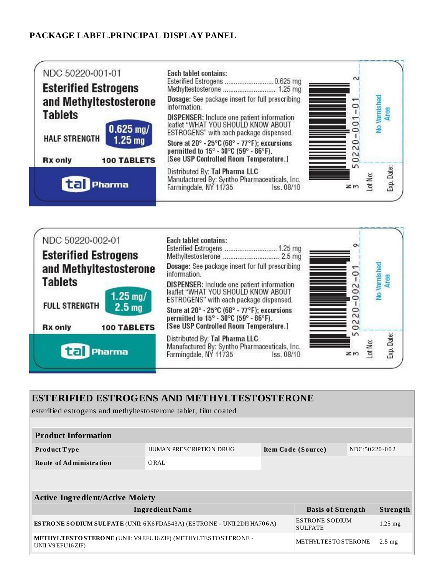# **PACKAGE LABEL.PRINCIPAL DISPLAY PANEL**





### **ESTERIFIED ESTROGENS AND METHYLTESTOSTERONE**

esterified estrogens and methyltestosterone tablet, film coated

| <b>Product Information</b>                                                                      |                                         |  |                    |               |          |  |  |  |
|-------------------------------------------------------------------------------------------------|-----------------------------------------|--|--------------------|---------------|----------|--|--|--|
| <b>Product Type</b>                                                                             | HUMAN PRESCRIPTION DRUG                 |  | Item Code (Source) | NDC:50220-002 |          |  |  |  |
| <b>Route of Administration</b>                                                                  | ORAL                                    |  |                    |               |          |  |  |  |
|                                                                                                 |                                         |  |                    |               |          |  |  |  |
| <b>Active Ingredient/Active Moiety</b>                                                          |                                         |  |                    |               |          |  |  |  |
| <b>Ingredient Name</b>                                                                          | <b>Basis of Strength</b>                |  | Strength           |               |          |  |  |  |
| <b>ESTRONE SODIUM SULFATE</b> (UNII: 6K6FDA543A) (ESTRONE - UNII:2DI9HA706A)                    | <b>ESTRONE SODIUM</b><br><b>SULFATE</b> |  | $1.25$ mg          |               |          |  |  |  |
| <b>METHYLTESTO STERO NE (UNII: V9 EFU16 ZIF) (METHYLTESTO STERO NE -</b><br>UNII: V9 EFU16 ZIF) |                                         |  | METHYLTESTOSTERONE |               | $2.5$ mg |  |  |  |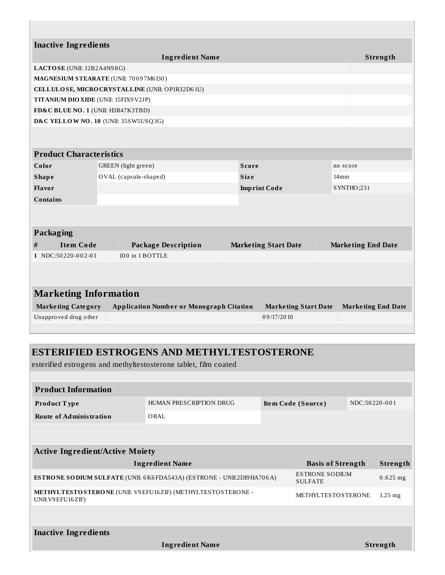| <b>Inactive Ingredients</b>           |  |                                                 |  |              |                             |                  |                           |
|---------------------------------------|--|-------------------------------------------------|--|--------------|-----------------------------|------------------|---------------------------|
| <b>Ingredient Name</b>                |  |                                                 |  |              |                             | Strength         |                           |
| LACTOSE (UNII: J2B2A4N98G)            |  |                                                 |  |              |                             |                  |                           |
| MAGNESIUM STEARATE (UNII: 70097M6I30) |  |                                                 |  |              |                             |                  |                           |
|                                       |  | CELLULOSE, MICRO CRYSTALLINE (UNII: OP1R32D61U) |  |              |                             |                  |                           |
| TITANIUM DIO XIDE (UNII: 15FIX9V2JP)  |  |                                                 |  |              |                             |                  |                           |
| FD&C BLUE NO. 1 (UNII: H3R47K3TBD)    |  |                                                 |  |              |                             |                  |                           |
| D&C YELLOW NO. 10 (UNII: 35SW5USQ3G)  |  |                                                 |  |              |                             |                  |                           |
|                                       |  |                                                 |  |              |                             |                  |                           |
|                                       |  |                                                 |  |              |                             |                  |                           |
| <b>Product Characteristics</b>        |  |                                                 |  |              |                             |                  |                           |
| Color                                 |  | GREEN (light green)                             |  | <b>Score</b> |                             | no score         |                           |
| <b>Shape</b>                          |  | OVAL (capsule-shaped)                           |  | <b>Size</b>  |                             | 14 <sub>mm</sub> |                           |
| Flavor                                |  |                                                 |  |              | <b>Imprint Code</b>         |                  | SYNTHO;231                |
| <b>Contains</b>                       |  |                                                 |  |              |                             |                  |                           |
|                                       |  |                                                 |  |              |                             |                  |                           |
|                                       |  |                                                 |  |              |                             |                  |                           |
| Packaging                             |  |                                                 |  |              |                             |                  |                           |
| <b>Item Code</b><br>#                 |  | <b>Package Description</b>                      |  |              | <b>Marketing Start Date</b> |                  | <b>Marketing End Date</b> |
| $1$ NDC:50220-002-01                  |  | 100 in 1 BOTTLE                                 |  |              |                             |                  |                           |
|                                       |  |                                                 |  |              |                             |                  |                           |
|                                       |  |                                                 |  |              |                             |                  |                           |
| <b>Marketing Information</b>          |  |                                                 |  |              |                             |                  |                           |
| <b>Marketing Category</b>             |  | <b>Application Number or Monograph Citation</b> |  |              | <b>Marketing Start Date</b> |                  | <b>Marketing End Date</b> |
| Unapproved drug other                 |  |                                                 |  | 09/17/2010   |                             |                  |                           |
|                                       |  |                                                 |  |              |                             |                  |                           |
|                                       |  |                                                 |  |              |                             |                  |                           |

U.

| <b>ESTERIFIED ESTROGENS AND METHYLTESTOSTERONE</b><br>esterified estrogens and methyltestosterone tablet, film coated   |                                |                    |  |               |            |  |  |  |
|-------------------------------------------------------------------------------------------------------------------------|--------------------------------|--------------------|--|---------------|------------|--|--|--|
|                                                                                                                         |                                |                    |  |               |            |  |  |  |
| <b>Product Information</b>                                                                                              |                                |                    |  |               |            |  |  |  |
| Product Type                                                                                                            | <b>HUMAN PRESCRIPTION DRUG</b> | Item Code (Source) |  | NDC:50220-001 |            |  |  |  |
| <b>Route of Administration</b>                                                                                          | ORAL.                          |                    |  |               |            |  |  |  |
|                                                                                                                         |                                |                    |  |               |            |  |  |  |
| <b>Active Ingredient/Active Moiety</b>                                                                                  |                                |                    |  |               |            |  |  |  |
| <b>Ingredient Name</b>                                                                                                  | <b>Basis of Strength</b>       | Strength           |  |               |            |  |  |  |
| <b>ESTRONE SODIUM</b><br><b>ESTRONE SODIUM SULFATE</b> (UNII: 6K6FDA543A) (ESTRONE - UNII:2DI9HA706A)<br><b>SULFATE</b> |                                |                    |  |               | $0.625$ mg |  |  |  |
| METHYLTESTO STERONE (UNII: V9 EFU16 ZIF) (METHYLTESTO STERONE -<br>METHYLTESTOSTERONE<br>UNII: V9 EFU16 ZIF)            |                                |                    |  |               | $1.25$ mg  |  |  |  |
|                                                                                                                         |                                |                    |  |               |            |  |  |  |
| <b>Inactive Ingredients</b>                                                                                             |                                |                    |  |               |            |  |  |  |
| <b>Ingredient Name</b>                                                                                                  |                                |                    |  |               | Strength   |  |  |  |